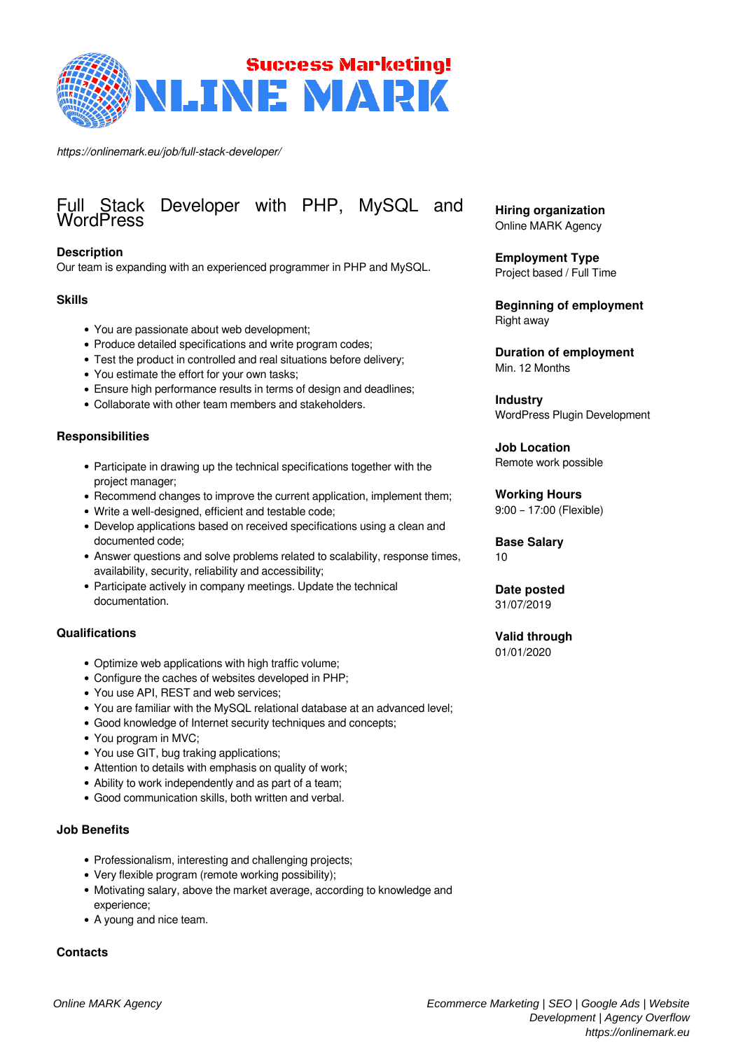

*https://onlinemark.eu/job/full-stack-developer/*

# Full Stack Developer with PHP, MySQL and WordPress

## **Description**

Our team is expanding with an experienced programmer in PHP and MySQL.

#### **Skills**

- You are passionate about web development;
- Produce detailed specifications and write program codes;
- Test the product in controlled and real situations before delivery;
- You estimate the effort for your own tasks;
- Ensure high performance results in terms of design and deadlines;
- Collaborate with other team members and stakeholders.

### **Responsibilities**

- Participate in drawing up the technical specifications together with the project manager;
- Recommend changes to improve the current application, implement them;
- Write a well-designed, efficient and testable code;
- Develop applications based on received specifications using a clean and documented code;
- Answer questions and solve problems related to scalability, response times, availability, security, reliability and accessibility;
- Participate actively in company meetings. Update the technical documentation.

#### **Qualifications**

- Optimize web applications with high traffic volume;
- Configure the caches of websites developed in PHP;
- You use API, REST and web services;
- You are familiar with the MySQL relational database at an advanced level;
- Good knowledge of Internet security techniques and concepts;
- You program in MVC;
- You use GIT, bug traking applications;
- Attention to details with emphasis on quality of work;
- Ability to work independently and as part of a team;
- Good communication skills, both written and verbal.

#### **Job Benefits**

- Professionalism, interesting and challenging projects;
- Very flexible program (remote working possibility);
- Motivating salary, above the market average, according to knowledge and experience;
- A young and nice team.

#### **Contacts**

**Hiring organization** Online MARK Agency

**Employment Type** Project based / Full Time

**Beginning of employment** Right away

**Duration of employment** Min. 12 Months

**Industry** WordPress Plugin Development

**Job Location** Remote work possible

# **Working Hours**

9:00 – 17:00 (Flexible)

**Base Salary** 10

**Date posted** 31/07/2019

**Valid through** 01/01/2020